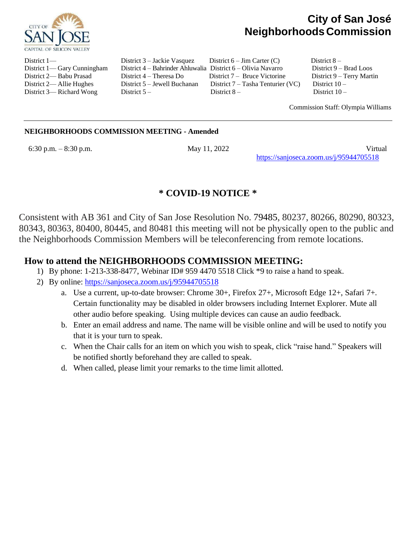

# **City of San José NeighborhoodsCommission**

District 1— District 3 – Jackie Vasquez District 6 – Jim Carter (C) District 8 – District 1— Gary Cunningham District 4 – Bahrinder Ahluwalia District 6 – Olivia Navarro District 9 – Brad Loos District 2— Babu Prasad District 4 – Theresa Do District 7 – Bruce Victorine District 9 – Terry Martin District 2— Allie Hughes District 5 – Jewell Buchanan District 7 – Tasha Tenturier (VC) District 10 – District 3— Richard Wong District 5 – District 8 – District 10 –

Commission Staff: Olympia Williams

#### **NEIGHBORHOODS COMMISSION MEETING - Amended**

6:30 p.m. – 8:30 p.m. May 11, 2022 Virtual <https://sanjoseca.zoom.us/j/95944705518>

## **\* COVID-19 NOTICE \***

Consistent with AB 361 and City of San Jose Resolution No. 79485, 80237, 80266, 80290, 80323, 80343, 80363, 80400, 80445, and 80481 this meeting will not be physically open to the public and the Neighborhoods Commission Members will be teleconferencing from remote locations.

### **How to attend the NEIGHBORHOODS COMMISSION MEETING:**

- 1) By phone: 1-213-338-8477, Webinar ID# 959 4470 5518 Click \*9 to raise a hand to speak.
- 2) By online: <https://sanjoseca.zoom.us/j/95944705518>
	- a. Use a current, up-to-date browser: Chrome 30+, Firefox 27+, Microsoft Edge 12+, Safari 7+. Certain functionality may be disabled in older browsers including Internet Explorer. Mute all other audio before speaking. Using multiple devices can cause an audio feedback.
	- b. Enter an email address and name. The name will be visible online and will be used to notify you that it is your turn to speak.
	- c. When the Chair calls for an item on which you wish to speak, click "raise hand." Speakers will be notified shortly beforehand they are called to speak.
	- d. When called, please limit your remarks to the time limit allotted.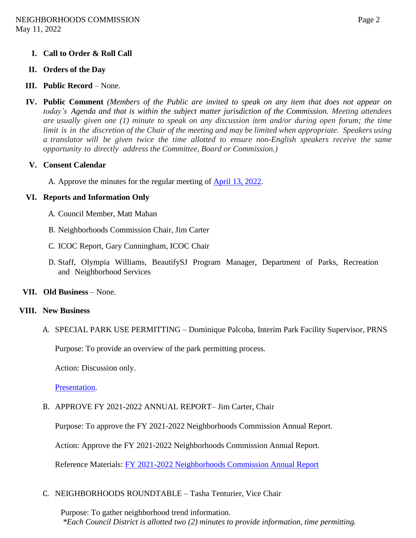#### **I. Call to Order & Roll Call**

#### **II. Orders of the Day**

- **III. Public Record** None.
- **IV. Public Comment** (Members of the Public are invited to speak on any item that does not appear on *today's Agenda and that is within the subject matter jurisdiction of the Commission. Meeting attendees* are usually given one  $(1)$  minute to speak on any discussion item and/or during open forum; the time limit is in the discretion of the Chair of the meeting and may be limited when appropriate. Speakers using *a translator will be given twice the time allotted to ensure non-English speakers receive the same opportunity to directly address the Committee, Board or Commission.)*

#### **V. Consent Calendar**

A. Approve the minutes for the regular meeting of [April 13, 2022.](https://www.sanjoseca.gov/home/showpublisheddocument/84994)

#### **VI. Reports and Information Only**

- A. Council Member, Matt Mahan
- B. Neighborhoods Commission Chair, Jim Carter
- C. ICOC Report, Gary Cunningham, ICOC Chair
- D. Staff, Olympia Williams, BeautifySJ Program Manager, Department of Parks, Recreation and Neighborhood Services
- **VII. Old Business** None.

#### **VIII. New Business**

A. SPECIAL PARK USE PERMITTING – Dominique Palcoba, Interim Park Facility Supervisor, PRNS

Purpose: To provide an overview of the park permitting process.

Action: Discussion only.

[Presentation.](https://www.sanjoseca.gov/home/showpublisheddocument/85254/637871735628711806)

B. APPROVE FY 2021-2022 ANNUAL REPORT– Jim Carter, Chair

Purpose: To approve the FY 2021-2022 Neighborhoods Commission Annual Report.

Action: Approve the FY 2021-2022 Neighborhoods Commission Annual Report.

Reference Materials: [FY 2021-2022 Neighborhoods Commission Annual Report](https://www.sanjoseca.gov/home/showpublisheddocument/85508)

#### C. NEIGHBORHOODS ROUNDTABLE – Tasha Tenturier, Vice Chair

Purpose: To gather neighborhood trend information. *\*Each Council District is allotted two (2) minutes to provide information, time permitting.*